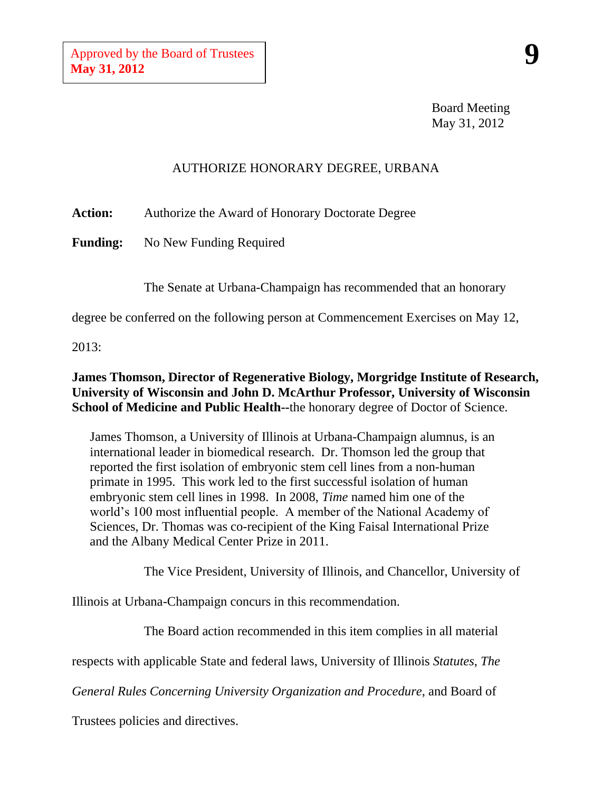Board Meeting May 31, 2012

## AUTHORIZE HONORARY DEGREE, URBANA

**Action:** Authorize the Award of Honorary Doctorate Degree

**Funding:** No New Funding Required

The Senate at Urbana-Champaign has recommended that an honorary

degree be conferred on the following person at Commencement Exercises on May 12,

2013:

## **James Thomson, Director of Regenerative Biology, Morgridge Institute of Research, University of Wisconsin and John D. McArthur Professor, University of Wisconsin School of Medicine and Public Health--**the honorary degree of Doctor of Science.

James Thomson, a University of Illinois at Urbana-Champaign alumnus, is an international leader in biomedical research. Dr. Thomson led the group that reported the first isolation of embryonic stem cell lines from a non-human primate in 1995. This work led to the first successful isolation of human embryonic stem cell lines in 1998. In 2008, *Time* named him one of the world's 100 most influential people. A member of the National Academy of Sciences, Dr. Thomas was co-recipient of the King Faisal International Prize and the Albany Medical Center Prize in 2011.

The Vice President, University of Illinois, and Chancellor, University of

Illinois at Urbana-Champaign concurs in this recommendation.

The Board action recommended in this item complies in all material

respects with applicable State and federal laws, University of Illinois *Statutes*, *The* 

*General Rules Concerning University Organization and Procedure*, and Board of

Trustees policies and directives.